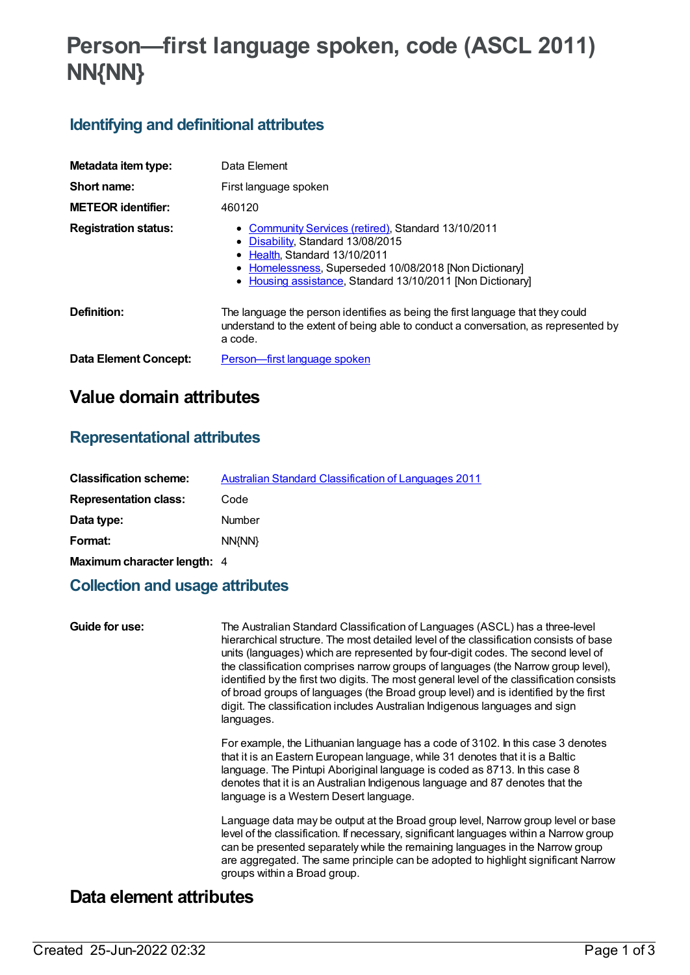# **Person—first language spoken, code (ASCL 2011) NN{NN}**

### **Identifying and definitional attributes**

| Metadata item type:         | Data Element                                                                                                                                                                                                                                     |
|-----------------------------|--------------------------------------------------------------------------------------------------------------------------------------------------------------------------------------------------------------------------------------------------|
| Short name:                 | First language spoken                                                                                                                                                                                                                            |
| <b>METEOR identifier:</b>   | 460120                                                                                                                                                                                                                                           |
| <b>Registration status:</b> | • Community Services (retired), Standard 13/10/2011<br>• Disability, Standard 13/08/2015<br>• Health Standard 13/10/2011<br>• Homelessness, Superseded 10/08/2018 [Non Dictionary]<br>• Housing assistance, Standard 13/10/2011 [Non Dictionary] |
| Definition:                 | The language the person identifies as being the first language that they could<br>understand to the extent of being able to conduct a conversation, as represented by<br>a code.                                                                 |
| Data Element Concept:       | Person—first language spoken                                                                                                                                                                                                                     |

## **Value domain attributes**

### **Representational attributes**

| <b>Classification scheme:</b> | <b>Australian Standard Classification of Languages 2011</b> |
|-------------------------------|-------------------------------------------------------------|
| <b>Representation class:</b>  | Code                                                        |
| Data type:                    | <b>Number</b>                                               |
| Format:                       | NN{NN}                                                      |
| Maximum character length: 4   |                                                             |

### **Collection and usage attributes**

**Guide for use:** The Australian Standard Classification of Languages (ASCL) has a three-level hierarchical structure. The most detailed level of the classification consists of base units (languages) which are represented by four-digit codes. The second level of the classification comprises narrow groups of languages (the Narrow group level), identified by the first two digits. The most general level of the classification consists of broad groups of languages (the Broad group level) and is identified by the first digit. The classification includes Australian Indigenous languages and sign languages. For example, the Lithuanian language has a code of 3102. In this case 3 denotes that it is an Eastern European language, while 31 denotes that it is a Baltic

language. The Pintupi Aboriginal language is coded as 8713. In this case 8 denotes that it is an Australian Indigenous language and 87 denotes that the language is a Western Desert language.

Language data may be output at the Broad group level, Narrow group level or base level of the classification. If necessary, significant languages within a Narrow group can be presented separately while the remaining languages in the Narrow group are aggregated. The same principle can be adopted to highlight significant Narrow groups within a Broad group.

### **Data element attributes**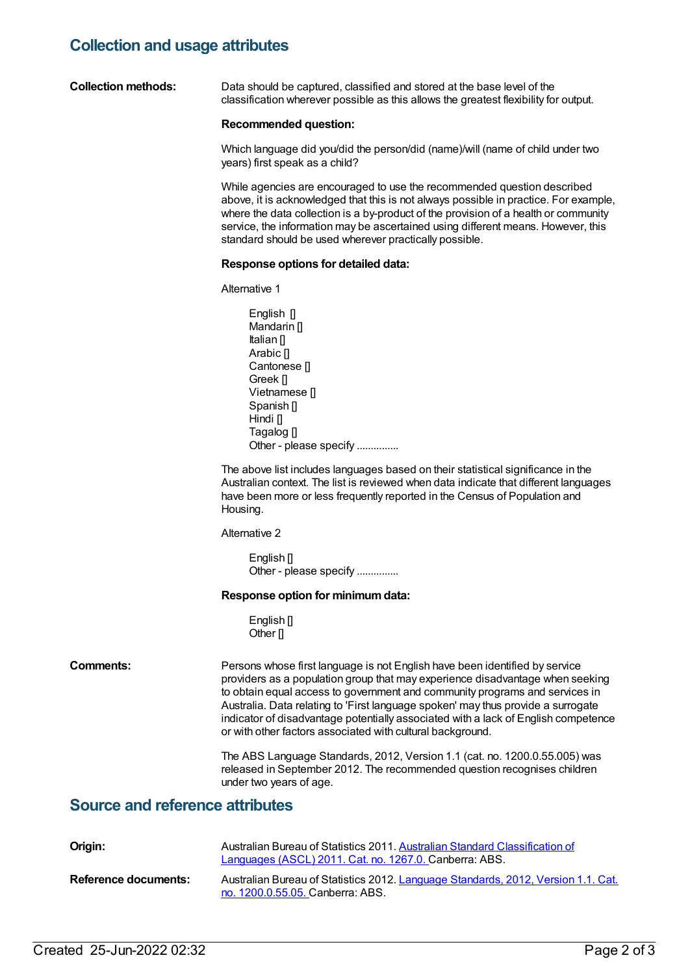### **Collection and usage attributes**

**Collection methods:** Data should be captured, classified and stored at the base level of the classification wherever possible as this allows the greatest flexibility for output.

#### **Recommended question:**

Which language did you/did the person/did (name)/will (name of child under two years) first speak as a child?

While agencies are encouraged to use the recommended question described above, it is acknowledged that this is not always possible in practice. For example, where the data collection is a by-product of the provision of a health or community service, the information may be ascertained using different means. However, this standard should be used wherever practically possible.

#### **Response options for detailed data:**

Alternative 1

English [] Mandarin [] Italian [] Arabic [] Cantonese [] Greek [] Vietnamese [] Spanish [] Hindi<sub>[]</sub> Tagalog [] Other - please specify ..............

The above list includes languages based on their statistical significance in the Australian context. The list is reviewed when data indicate that different languages have been more or less frequently reported in the Census of Population and Housing.

Alternative 2

English [] Other - please specify ...............

#### **Response option for minimumdata:**

English<sup>[]</sup> Other <sub>II</sub>

**Comments:** Persons whose first language is not English have been identified by service providers as a population group that may experience disadvantage when seeking to obtain equal access to government and community programs and services in Australia. Data relating to 'First language spoken' may thus provide a surrogate indicator of disadvantage potentially associated with a lack of English competence or with other factors associated with cultural background.

> The ABS Language Standards, 2012, Version 1.1 (cat. no. 1200.0.55.005) was released in September 2012. The recommended question recognises children under two years of age.

### **Source and reference attributes**

| Origin:              | Australian Bureau of Statistics 2011. Australian Standard Classification of<br>Languages (ASCL) 2011. Cat. no. 1267.0. Canberra: ABS. |
|----------------------|---------------------------------------------------------------------------------------------------------------------------------------|
| Reference documents: | Australian Bureau of Statistics 2012. Language Standards, 2012, Version 1.1. Cat.<br>no. 1200.0.55.05. Canberra: ABS.                 |